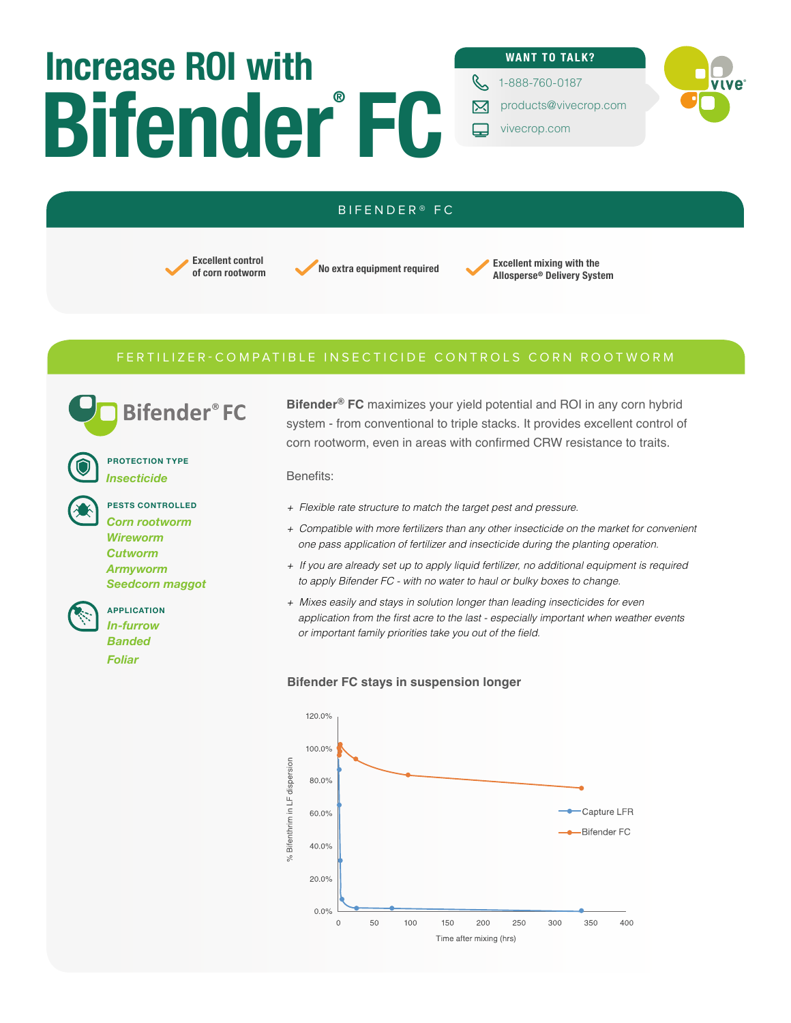# **Bifender FC ® Increase ROI with**

#### **WANT TO TALK?**

**C** 1-888-760-0187 **WIVE** 

- 冈 products@vivecrop.com
- $\Box$ vivecrop.com

#### BIFENDER® FC

## **Excellent control**

**Excellent control**<br>**of corn rootworm Excellent mixing with the advanced to the advanced Delivery System Allosperse® Delivery System** 

### FERTILIZER-COMPATIBLE INSECTICIDE CONTROLS CORN ROOTWORM

**Bifender**®FC

**PROTECTION TYPE** *Insecticide*

**PESTS CONTROLLED** *Corn rootworm Wireworm Cutworm Armyworm Seedcorn maggot*

**APPLICATION** *In-furrow Banded*

*Foliar* 

**Bifender® FC** maximizes your yield potential and ROI in any corn hybrid system - from conventional to triple stacks. It provides excellent control of corn rootworm, even in areas with confirmed CRW resistance to traits.

Benefits:

- *+ Flexible rate structure to match the target pest and pressure.*
- *+ Compatible with more fertilizers than any other insecticide on the market for convenient one pass application of fertilizer and insecticide during the planting operation.*
- *+ If you are already set up to apply liquid fertilizer, no additional equipment is required to apply Bifender FC - with no water to haul or bulky boxes to change.*
- *+ Mixes easily and stays in solution longer than leading insecticides for even*  application from the first acre to the last - especially important when weather events or important family priorities take you out of the field.

#### **Bifender FC stays in suspension longer**